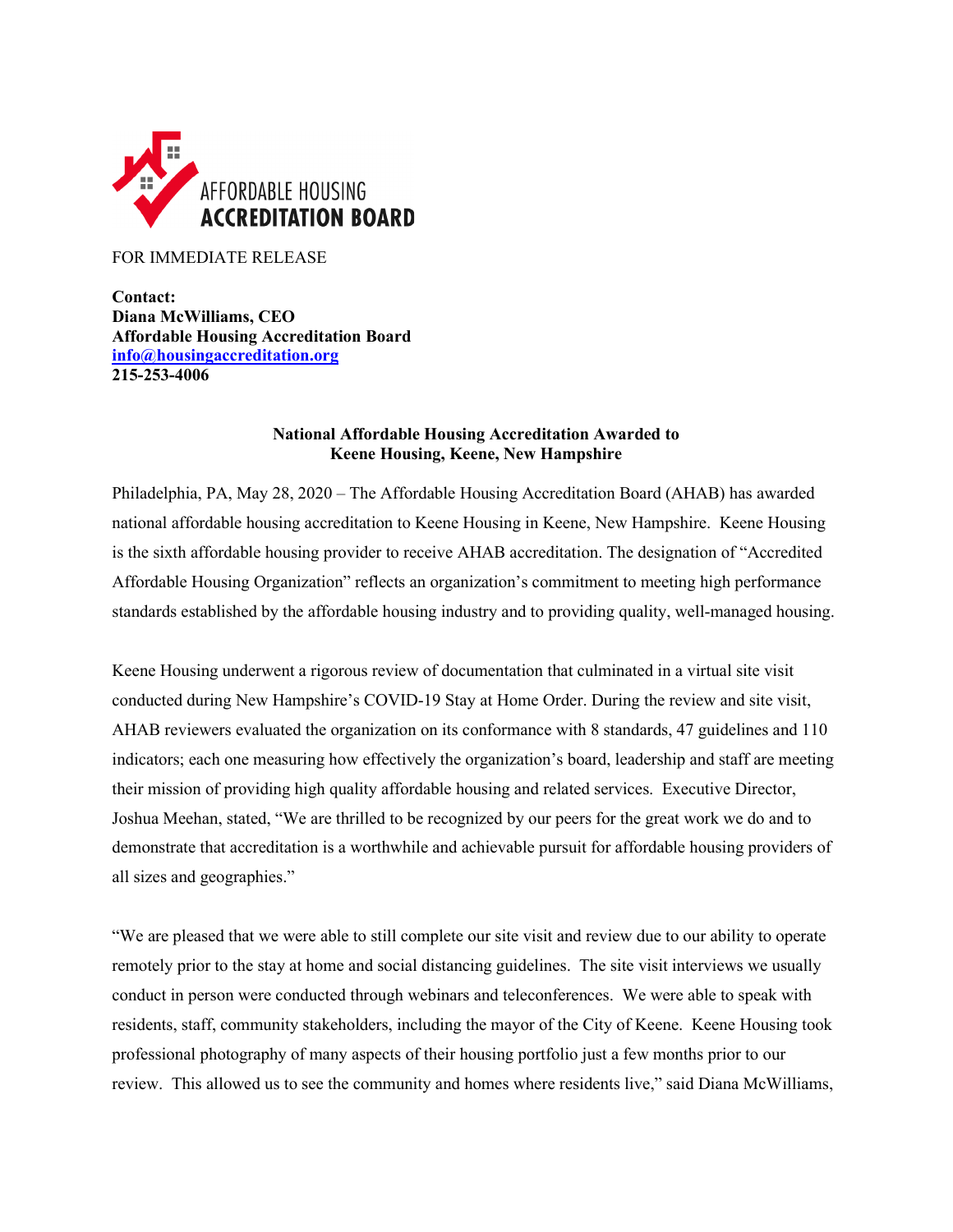

FOR IMMEDIATE RELEASE

**Contact: Diana McWilliams, CEO Affordable Housing Accreditation Board [info@housingaccreditation.org](mailto:info@housingaccreditation.org) 215-253-4006**

## **National Affordable Housing Accreditation Awarded to Keene Housing, Keene, New Hampshire**

Philadelphia, PA, May 28, 2020 – The Affordable Housing Accreditation Board (AHAB) has awarded national affordable housing accreditation to Keene Housing in Keene, New Hampshire. Keene Housing is the sixth affordable housing provider to receive AHAB accreditation. The designation of "Accredited Affordable Housing Organization" reflects an organization's commitment to meeting high performance standards established by the affordable housing industry and to providing quality, well-managed housing.

Keene Housing underwent a rigorous review of documentation that culminated in a virtual site visit conducted during New Hampshire's COVID-19 Stay at Home Order. During the review and site visit, AHAB reviewers evaluated the organization on its conformance with 8 standards, 47 guidelines and 110 indicators; each one measuring how effectively the organization's board, leadership and staff are meeting their mission of providing high quality affordable housing and related services. Executive Director, Joshua Meehan, stated, "We are thrilled to be recognized by our peers for the great work we do and to demonstrate that accreditation is a worthwhile and achievable pursuit for affordable housing providers of all sizes and geographies."

"We are pleased that we were able to still complete our site visit and review due to our ability to operate remotely prior to the stay at home and social distancing guidelines. The site visit interviews we usually conduct in person were conducted through webinars and teleconferences. We were able to speak with residents, staff, community stakeholders, including the mayor of the City of Keene. Keene Housing took professional photography of many aspects of their housing portfolio just a few months prior to our review. This allowed us to see the community and homes where residents live," said Diana McWilliams,